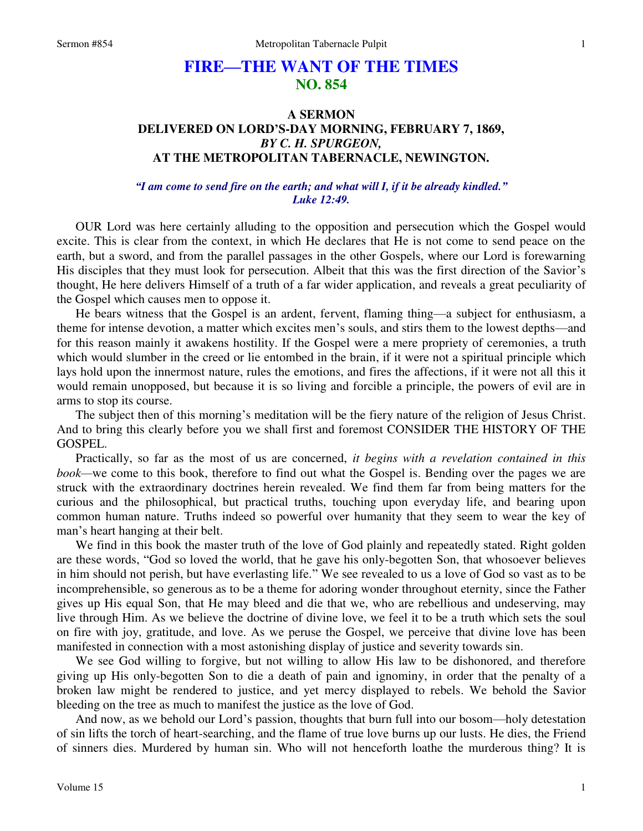# **FIRE—THE WANT OF THE TIMES NO. 854**

## **A SERMON DELIVERED ON LORD'S-DAY MORNING, FEBRUARY 7, 1869,**  *BY C. H. SPURGEON,*  **AT THE METROPOLITAN TABERNACLE, NEWINGTON.**

### *"I am come to send fire on the earth; and what will I, if it be already kindled." Luke 12:49.*

 OUR Lord was here certainly alluding to the opposition and persecution which the Gospel would excite. This is clear from the context, in which He declares that He is not come to send peace on the earth, but a sword, and from the parallel passages in the other Gospels, where our Lord is forewarning His disciples that they must look for persecution. Albeit that this was the first direction of the Savior's thought, He here delivers Himself of a truth of a far wider application, and reveals a great peculiarity of the Gospel which causes men to oppose it.

 He bears witness that the Gospel is an ardent, fervent, flaming thing—a subject for enthusiasm, a theme for intense devotion, a matter which excites men's souls, and stirs them to the lowest depths—and for this reason mainly it awakens hostility. If the Gospel were a mere propriety of ceremonies, a truth which would slumber in the creed or lie entombed in the brain, if it were not a spiritual principle which lays hold upon the innermost nature, rules the emotions, and fires the affections, if it were not all this it would remain unopposed, but because it is so living and forcible a principle, the powers of evil are in arms to stop its course.

 The subject then of this morning's meditation will be the fiery nature of the religion of Jesus Christ. And to bring this clearly before you we shall first and foremost CONSIDER THE HISTORY OF THE GOSPEL.

 Practically, so far as the most of us are concerned, *it begins with a revelation contained in this book—*we come to this book, therefore to find out what the Gospel is. Bending over the pages we are struck with the extraordinary doctrines herein revealed. We find them far from being matters for the curious and the philosophical, but practical truths, touching upon everyday life, and bearing upon common human nature. Truths indeed so powerful over humanity that they seem to wear the key of man's heart hanging at their belt.

 We find in this book the master truth of the love of God plainly and repeatedly stated. Right golden are these words, "God so loved the world, that he gave his only-begotten Son, that whosoever believes in him should not perish, but have everlasting life." We see revealed to us a love of God so vast as to be incomprehensible, so generous as to be a theme for adoring wonder throughout eternity, since the Father gives up His equal Son, that He may bleed and die that we, who are rebellious and undeserving, may live through Him. As we believe the doctrine of divine love, we feel it to be a truth which sets the soul on fire with joy, gratitude, and love. As we peruse the Gospel, we perceive that divine love has been manifested in connection with a most astonishing display of justice and severity towards sin.

 We see God willing to forgive, but not willing to allow His law to be dishonored, and therefore giving up His only-begotten Son to die a death of pain and ignominy, in order that the penalty of a broken law might be rendered to justice, and yet mercy displayed to rebels. We behold the Savior bleeding on the tree as much to manifest the justice as the love of God.

 And now, as we behold our Lord's passion, thoughts that burn full into our bosom—holy detestation of sin lifts the torch of heart-searching, and the flame of true love burns up our lusts. He dies, the Friend of sinners dies. Murdered by human sin. Who will not henceforth loathe the murderous thing? It is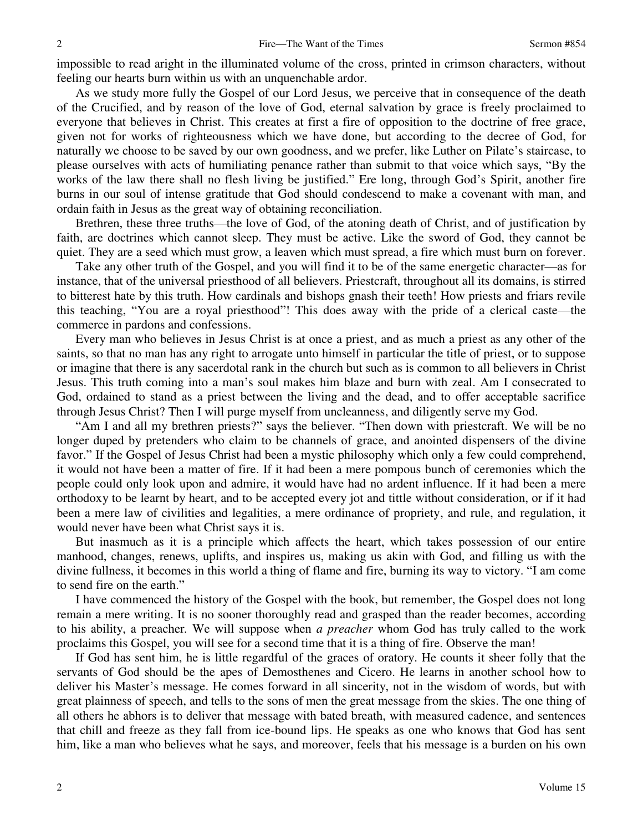impossible to read aright in the illuminated volume of the cross, printed in crimson characters, without feeling our hearts burn within us with an unquenchable ardor.

 As we study more fully the Gospel of our Lord Jesus, we perceive that in consequence of the death of the Crucified, and by reason of the love of God, eternal salvation by grace is freely proclaimed to everyone that believes in Christ. This creates at first a fire of opposition to the doctrine of free grace, given not for works of righteousness which we have done, but according to the decree of God, for naturally we choose to be saved by our own goodness, and we prefer, like Luther on Pilate's staircase, to please ourselves with acts of humiliating penance rather than submit to that voice which says, "By the works of the law there shall no flesh living be justified." Ere long, through God's Spirit, another fire burns in our soul of intense gratitude that God should condescend to make a covenant with man, and ordain faith in Jesus as the great way of obtaining reconciliation.

 Brethren, these three truths—the love of God, of the atoning death of Christ, and of justification by faith, are doctrines which cannot sleep. They must be active. Like the sword of God, they cannot be quiet. They are a seed which must grow, a leaven which must spread, a fire which must burn on forever.

 Take any other truth of the Gospel, and you will find it to be of the same energetic character—as for instance, that of the universal priesthood of all believers. Priestcraft, throughout all its domains, is stirred to bitterest hate by this truth. How cardinals and bishops gnash their teeth! How priests and friars revile this teaching, "You are a royal priesthood"! This does away with the pride of a clerical caste—the commerce in pardons and confessions.

 Every man who believes in Jesus Christ is at once a priest, and as much a priest as any other of the saints, so that no man has any right to arrogate unto himself in particular the title of priest, or to suppose or imagine that there is any sacerdotal rank in the church but such as is common to all believers in Christ Jesus. This truth coming into a man's soul makes him blaze and burn with zeal. Am I consecrated to God, ordained to stand as a priest between the living and the dead, and to offer acceptable sacrifice through Jesus Christ? Then I will purge myself from uncleanness, and diligently serve my God.

"Am I and all my brethren priests?" says the believer. "Then down with priestcraft. We will be no longer duped by pretenders who claim to be channels of grace, and anointed dispensers of the divine favor." If the Gospel of Jesus Christ had been a mystic philosophy which only a few could comprehend, it would not have been a matter of fire. If it had been a mere pompous bunch of ceremonies which the people could only look upon and admire, it would have had no ardent influence. If it had been a mere orthodoxy to be learnt by heart, and to be accepted every jot and tittle without consideration, or if it had been a mere law of civilities and legalities, a mere ordinance of propriety, and rule, and regulation, it would never have been what Christ says it is.

 But inasmuch as it is a principle which affects the heart, which takes possession of our entire manhood, changes, renews, uplifts, and inspires us, making us akin with God, and filling us with the divine fullness, it becomes in this world a thing of flame and fire, burning its way to victory. "I am come to send fire on the earth."

 I have commenced the history of the Gospel with the book, but remember, the Gospel does not long remain a mere writing. It is no sooner thoroughly read and grasped than the reader becomes, according to his ability, a preacher*.* We will suppose when *a preacher* whom God has truly called to the work proclaims this Gospel, you will see for a second time that it is a thing of fire. Observe the man!

 If God has sent him, he is little regardful of the graces of oratory. He counts it sheer folly that the servants of God should be the apes of Demosthenes and Cicero. He learns in another school how to deliver his Master's message. He comes forward in all sincerity, not in the wisdom of words, but with great plainness of speech, and tells to the sons of men the great message from the skies. The one thing of all others he abhors is to deliver that message with bated breath, with measured cadence, and sentences that chill and freeze as they fall from ice-bound lips. He speaks as one who knows that God has sent him, like a man who believes what he says, and moreover, feels that his message is a burden on his own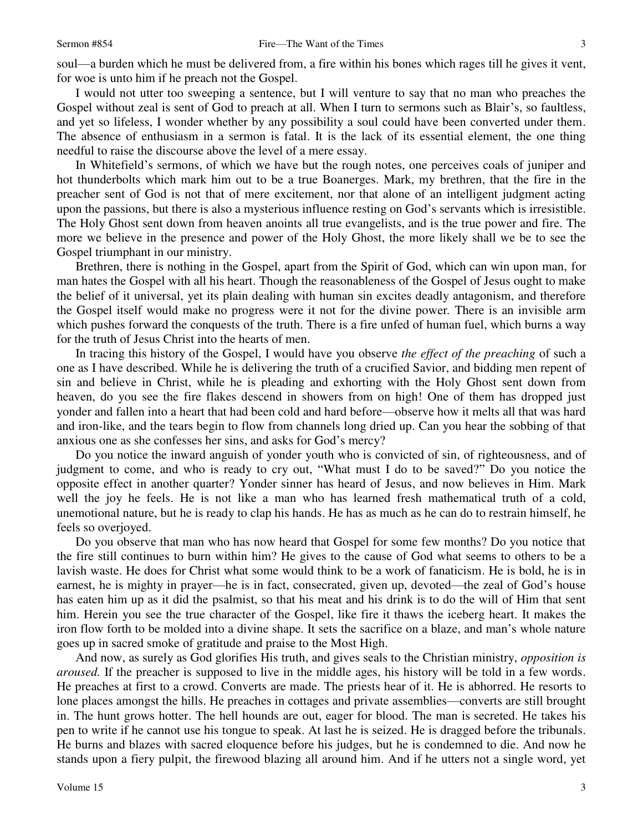3

soul—a burden which he must be delivered from, a fire within his bones which rages till he gives it vent, for woe is unto him if he preach not the Gospel.

 I would not utter too sweeping a sentence, but I will venture to say that no man who preaches the Gospel without zeal is sent of God to preach at all. When I turn to sermons such as Blair's, so faultless, and yet so lifeless, I wonder whether by any possibility a soul could have been converted under them. The absence of enthusiasm in a sermon is fatal. It is the lack of its essential element, the one thing needful to raise the discourse above the level of a mere essay.

 In Whitefield's sermons, of which we have but the rough notes, one perceives coals of juniper and hot thunderbolts which mark him out to be a true Boanerges. Mark, my brethren, that the fire in the preacher sent of God is not that of mere excitement, nor that alone of an intelligent judgment acting upon the passions, but there is also a mysterious influence resting on God's servants which is irresistible. The Holy Ghost sent down from heaven anoints all true evangelists, and is the true power and fire. The more we believe in the presence and power of the Holy Ghost, the more likely shall we be to see the Gospel triumphant in our ministry.

 Brethren, there is nothing in the Gospel, apart from the Spirit of God, which can win upon man, for man hates the Gospel with all his heart. Though the reasonableness of the Gospel of Jesus ought to make the belief of it universal, yet its plain dealing with human sin excites deadly antagonism, and therefore the Gospel itself would make no progress were it not for the divine power*.* There is an invisible arm which pushes forward the conquests of the truth. There is a fire unfed of human fuel, which burns a way for the truth of Jesus Christ into the hearts of men.

 In tracing this history of the Gospel, I would have you observe *the effect of the preaching* of such a one as I have described. While he is delivering the truth of a crucified Savior, and bidding men repent of sin and believe in Christ, while he is pleading and exhorting with the Holy Ghost sent down from heaven, do you see the fire flakes descend in showers from on high! One of them has dropped just yonder and fallen into a heart that had been cold and hard before—observe how it melts all that was hard and iron-like, and the tears begin to flow from channels long dried up. Can you hear the sobbing of that anxious one as she confesses her sins, and asks for God's mercy?

 Do you notice the inward anguish of yonder youth who is convicted of sin, of righteousness, and of judgment to come, and who is ready to cry out, "What must I do to be saved?" Do you notice the opposite effect in another quarter? Yonder sinner has heard of Jesus, and now believes in Him. Mark well the joy he feels. He is not like a man who has learned fresh mathematical truth of a cold, unemotional nature, but he is ready to clap his hands. He has as much as he can do to restrain himself, he feels so overjoyed.

 Do you observe that man who has now heard that Gospel for some few months? Do you notice that the fire still continues to burn within him? He gives to the cause of God what seems to others to be a lavish waste. He does for Christ what some would think to be a work of fanaticism. He is bold, he is in earnest, he is mighty in prayer—he is in fact, consecrated, given up, devoted—the zeal of God's house has eaten him up as it did the psalmist, so that his meat and his drink is to do the will of Him that sent him. Herein you see the true character of the Gospel, like fire it thaws the iceberg heart. It makes the iron flow forth to be molded into a divine shape. It sets the sacrifice on a blaze, and man's whole nature goes up in sacred smoke of gratitude and praise to the Most High.

 And now, as surely as God glorifies His truth, and gives seals to the Christian ministry, *opposition is aroused.* If the preacher is supposed to live in the middle ages, his history will be told in a few words. He preaches at first to a crowd. Converts are made. The priests hear of it. He is abhorred. He resorts to lone places amongst the hills. He preaches in cottages and private assemblies—converts are still brought in. The hunt grows hotter. The hell hounds are out, eager for blood. The man is secreted. He takes his pen to write if he cannot use his tongue to speak. At last he is seized. He is dragged before the tribunals. He burns and blazes with sacred eloquence before his judges, but he is condemned to die. And now he stands upon a fiery pulpit, the firewood blazing all around him. And if he utters not a single word, yet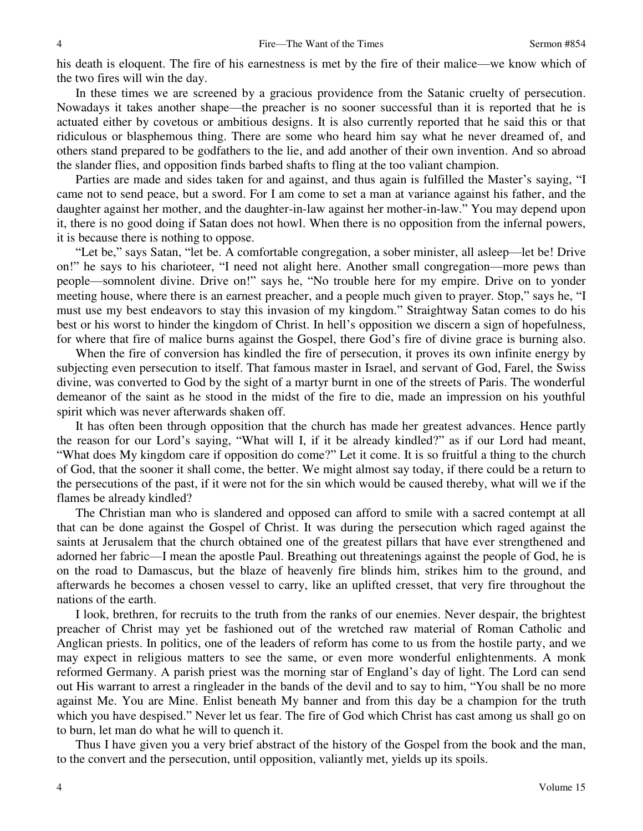his death is eloquent. The fire of his earnestness is met by the fire of their malice—we know which of the two fires will win the day.

 In these times we are screened by a gracious providence from the Satanic cruelty of persecution. Nowadays it takes another shape—the preacher is no sooner successful than it is reported that he is actuated either by covetous or ambitious designs. It is also currently reported that he said this or that ridiculous or blasphemous thing. There are some who heard him say what he never dreamed of, and others stand prepared to be godfathers to the lie, and add another of their own invention. And so abroad the slander flies, and opposition finds barbed shafts to fling at the too valiant champion.

 Parties are made and sides taken for and against, and thus again is fulfilled the Master's saying, "I came not to send peace, but a sword. For I am come to set a man at variance against his father, and the daughter against her mother, and the daughter-in-law against her mother-in-law." You may depend upon it, there is no good doing if Satan does not howl. When there is no opposition from the infernal powers, it is because there is nothing to oppose.

"Let be," says Satan, "let be. A comfortable congregation, a sober minister, all asleep—let be! Drive on!" he says to his charioteer, "I need not alight here. Another small congregation—more pews than people—somnolent divine. Drive on!" says he, "No trouble here for my empire. Drive on to yonder meeting house, where there is an earnest preacher, and a people much given to prayer. Stop," says he, "I must use my best endeavors to stay this invasion of my kingdom." Straightway Satan comes to do his best or his worst to hinder the kingdom of Christ. In hell's opposition we discern a sign of hopefulness, for where that fire of malice burns against the Gospel, there God's fire of divine grace is burning also.

 When the fire of conversion has kindled the fire of persecution, it proves its own infinite energy by subjecting even persecution to itself. That famous master in Israel, and servant of God, Farel, the Swiss divine, was converted to God by the sight of a martyr burnt in one of the streets of Paris. The wonderful demeanor of the saint as he stood in the midst of the fire to die, made an impression on his youthful spirit which was never afterwards shaken off.

 It has often been through opposition that the church has made her greatest advances. Hence partly the reason for our Lord's saying, "What will I, if it be already kindled?" as if our Lord had meant, "What does My kingdom care if opposition do come?" Let it come. It is so fruitful a thing to the church of God, that the sooner it shall come, the better. We might almost say today, if there could be a return to the persecutions of the past, if it were not for the sin which would be caused thereby, what will we if the flames be already kindled?

 The Christian man who is slandered and opposed can afford to smile with a sacred contempt at all that can be done against the Gospel of Christ. It was during the persecution which raged against the saints at Jerusalem that the church obtained one of the greatest pillars that have ever strengthened and adorned her fabric—I mean the apostle Paul. Breathing out threatenings against the people of God, he is on the road to Damascus, but the blaze of heavenly fire blinds him, strikes him to the ground, and afterwards he becomes a chosen vessel to carry, like an uplifted cresset, that very fire throughout the nations of the earth.

 I look, brethren, for recruits to the truth from the ranks of our enemies. Never despair, the brightest preacher of Christ may yet be fashioned out of the wretched raw material of Roman Catholic and Anglican priests. In politics, one of the leaders of reform has come to us from the hostile party, and we may expect in religious matters to see the same, or even more wonderful enlightenments. A monk reformed Germany. A parish priest was the morning star of England's day of light. The Lord can send out His warrant to arrest a ringleader in the bands of the devil and to say to him, "You shall be no more against Me. You are Mine. Enlist beneath My banner and from this day be a champion for the truth which you have despised." Never let us fear. The fire of God which Christ has cast among us shall go on to burn, let man do what he will to quench it.

 Thus I have given you a very brief abstract of the history of the Gospel from the book and the man, to the convert and the persecution, until opposition, valiantly met, yields up its spoils.

4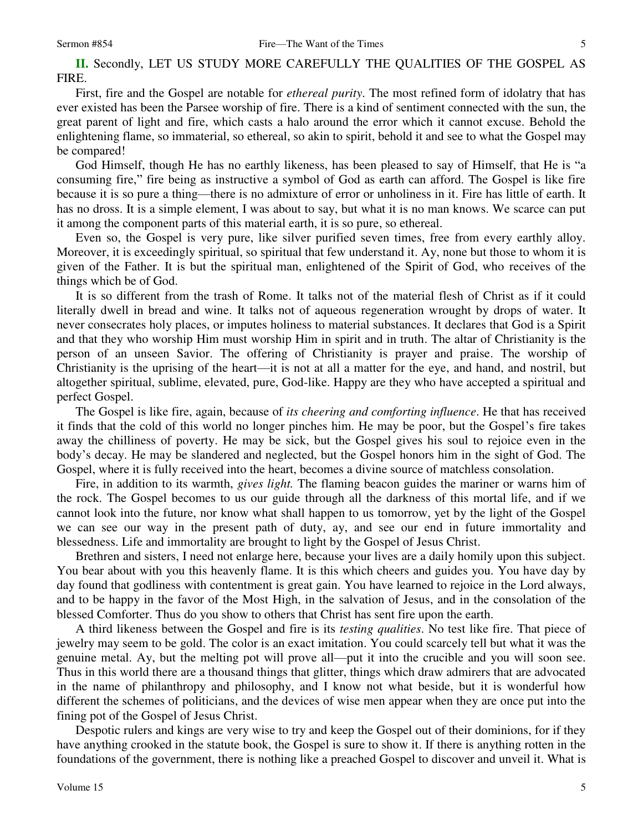**II.** Secondly, LET US STUDY MORE CAREFULLY THE QUALITIES OF THE GOSPEL AS FIRE.

 First, fire and the Gospel are notable for *ethereal purity*. The most refined form of idolatry that has ever existed has been the Parsee worship of fire. There is a kind of sentiment connected with the sun, the great parent of light and fire, which casts a halo around the error which it cannot excuse. Behold the enlightening flame, so immaterial, so ethereal, so akin to spirit, behold it and see to what the Gospel may be compared!

 God Himself, though He has no earthly likeness, has been pleased to say of Himself, that He is "a consuming fire," fire being as instructive a symbol of God as earth can afford. The Gospel is like fire because it is so pure a thing—there is no admixture of error or unholiness in it. Fire has little of earth. It has no dross. It is a simple element, I was about to say, but what it is no man knows. We scarce can put it among the component parts of this material earth, it is so pure, so ethereal.

 Even so, the Gospel is very pure, like silver purified seven times, free from every earthly alloy. Moreover, it is exceedingly spiritual, so spiritual that few understand it. Ay, none but those to whom it is given of the Father. It is but the spiritual man, enlightened of the Spirit of God, who receives of the things which be of God.

 It is so different from the trash of Rome. It talks not of the material flesh of Christ as if it could literally dwell in bread and wine. It talks not of aqueous regeneration wrought by drops of water. It never consecrates holy places, or imputes holiness to material substances. It declares that God is a Spirit and that they who worship Him must worship Him in spirit and in truth. The altar of Christianity is the person of an unseen Savior. The offering of Christianity is prayer and praise. The worship of Christianity is the uprising of the heart—it is not at all a matter for the eye, and hand, and nostril, but altogether spiritual, sublime, elevated, pure, God-like. Happy are they who have accepted a spiritual and perfect Gospel.

 The Gospel is like fire, again, because of *its cheering and comforting influence*. He that has received it finds that the cold of this world no longer pinches him. He may be poor, but the Gospel's fire takes away the chilliness of poverty. He may be sick, but the Gospel gives his soul to rejoice even in the body's decay. He may be slandered and neglected, but the Gospel honors him in the sight of God. The Gospel, where it is fully received into the heart, becomes a divine source of matchless consolation.

 Fire, in addition to its warmth, *gives light.* The flaming beacon guides the mariner or warns him of the rock. The Gospel becomes to us our guide through all the darkness of this mortal life, and if we cannot look into the future, nor know what shall happen to us tomorrow, yet by the light of the Gospel we can see our way in the present path of duty, ay, and see our end in future immortality and blessedness. Life and immortality are brought to light by the Gospel of Jesus Christ.

 Brethren and sisters, I need not enlarge here, because your lives are a daily homily upon this subject. You bear about with you this heavenly flame. It is this which cheers and guides you. You have day by day found that godliness with contentment is great gain. You have learned to rejoice in the Lord always, and to be happy in the favor of the Most High, in the salvation of Jesus, and in the consolation of the blessed Comforter. Thus do you show to others that Christ has sent fire upon the earth.

 A third likeness between the Gospel and fire is its *testing qualities*. No test like fire. That piece of jewelry may seem to be gold. The color is an exact imitation. You could scarcely tell but what it was the genuine metal. Ay, but the melting pot will prove all—put it into the crucible and you will soon see. Thus in this world there are a thousand things that glitter, things which draw admirers that are advocated in the name of philanthropy and philosophy, and I know not what beside, but it is wonderful how different the schemes of politicians, and the devices of wise men appear when they are once put into the fining pot of the Gospel of Jesus Christ.

Despotic rulers and kings are very wise to try and keep the Gospel out of their dominions, for if they have anything crooked in the statute book, the Gospel is sure to show it. If there is anything rotten in the foundations of the government, there is nothing like a preached Gospel to discover and unveil it. What is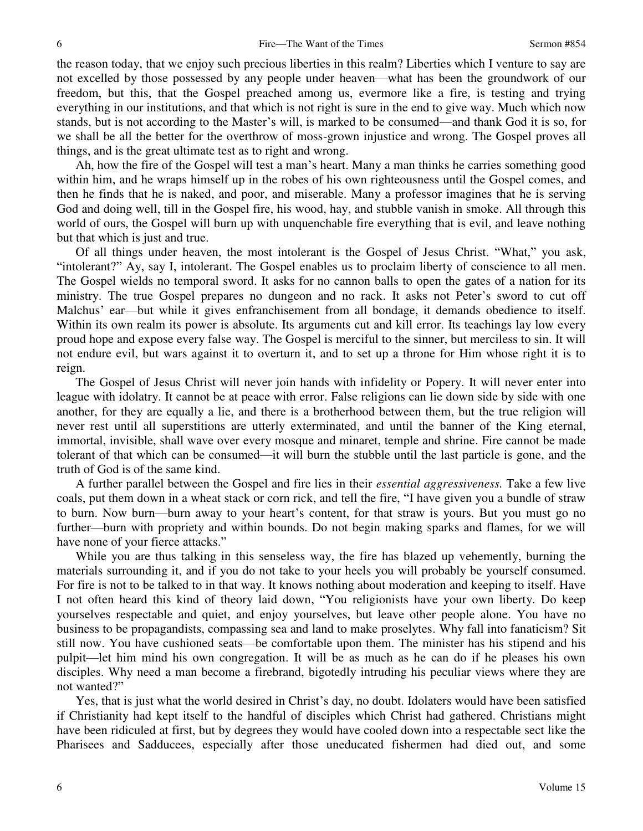the reason today, that we enjoy such precious liberties in this realm? Liberties which I venture to say are not excelled by those possessed by any people under heaven—what has been the groundwork of our freedom, but this, that the Gospel preached among us, evermore like a fire, is testing and trying everything in our institutions, and that which is not right is sure in the end to give way. Much which now stands, but is not according to the Master's will, is marked to be consumed—and thank God it is so, for we shall be all the better for the overthrow of moss-grown injustice and wrong. The Gospel proves all things, and is the great ultimate test as to right and wrong.

 Ah, how the fire of the Gospel will test a man's heart. Many a man thinks he carries something good within him, and he wraps himself up in the robes of his own righteousness until the Gospel comes, and then he finds that he is naked, and poor, and miserable. Many a professor imagines that he is serving God and doing well, till in the Gospel fire, his wood, hay, and stubble vanish in smoke. All through this world of ours, the Gospel will burn up with unquenchable fire everything that is evil, and leave nothing but that which is just and true.

 Of all things under heaven, the most intolerant is the Gospel of Jesus Christ. "What," you ask, "intolerant?" Ay, say I, intolerant. The Gospel enables us to proclaim liberty of conscience to all men. The Gospel wields no temporal sword. It asks for no cannon balls to open the gates of a nation for its ministry. The true Gospel prepares no dungeon and no rack. It asks not Peter's sword to cut off Malchus' ear—but while it gives enfranchisement from all bondage, it demands obedience to itself. Within its own realm its power is absolute. Its arguments cut and kill error. Its teachings lay low every proud hope and expose every false way. The Gospel is merciful to the sinner, but merciless to sin. It will not endure evil, but wars against it to overturn it, and to set up a throne for Him whose right it is to reign.

 The Gospel of Jesus Christ will never join hands with infidelity or Popery. It will never enter into league with idolatry. It cannot be at peace with error. False religions can lie down side by side with one another, for they are equally a lie, and there is a brotherhood between them, but the true religion will never rest until all superstitions are utterly exterminated, and until the banner of the King eternal, immortal, invisible, shall wave over every mosque and minaret, temple and shrine. Fire cannot be made tolerant of that which can be consumed—it will burn the stubble until the last particle is gone, and the truth of God is of the same kind.

 A further parallel between the Gospel and fire lies in their *essential aggressiveness.* Take a few live coals, put them down in a wheat stack or corn rick, and tell the fire, "I have given you a bundle of straw to burn. Now burn—burn away to your heart's content, for that straw is yours. But you must go no further—burn with propriety and within bounds. Do not begin making sparks and flames, for we will have none of your fierce attacks."

 While you are thus talking in this senseless way, the fire has blazed up vehemently, burning the materials surrounding it, and if you do not take to your heels you will probably be yourself consumed. For fire is not to be talked to in that way. It knows nothing about moderation and keeping to itself. Have I not often heard this kind of theory laid down, "You religionists have your own liberty. Do keep yourselves respectable and quiet, and enjoy yourselves, but leave other people alone. You have no business to be propagandists, compassing sea and land to make proselytes. Why fall into fanaticism? Sit still now. You have cushioned seats—be comfortable upon them. The minister has his stipend and his pulpit—let him mind his own congregation. It will be as much as he can do if he pleases his own disciples. Why need a man become a firebrand, bigotedly intruding his peculiar views where they are not wanted?"

 Yes, that is just what the world desired in Christ's day, no doubt. Idolaters would have been satisfied if Christianity had kept itself to the handful of disciples which Christ had gathered. Christians might have been ridiculed at first, but by degrees they would have cooled down into a respectable sect like the Pharisees and Sadducees, especially after those uneducated fishermen had died out, and some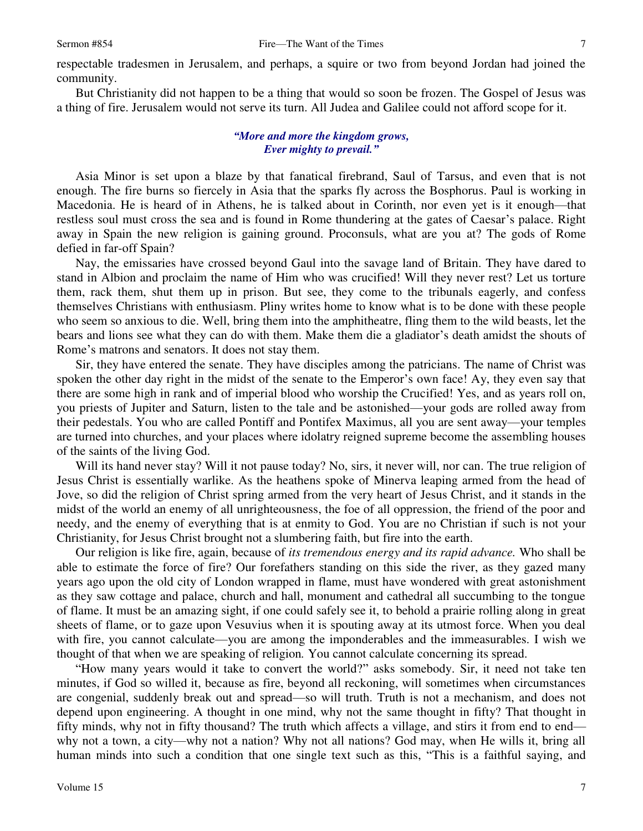respectable tradesmen in Jerusalem, and perhaps, a squire or two from beyond Jordan had joined the community.

 But Christianity did not happen to be a thing that would so soon be frozen. The Gospel of Jesus was a thing of fire. Jerusalem would not serve its turn. All Judea and Galilee could not afford scope for it.

#### *"More and more the kingdom grows, Ever mighty to prevail."*

 Asia Minor is set upon a blaze by that fanatical firebrand, Saul of Tarsus, and even that is not enough. The fire burns so fiercely in Asia that the sparks fly across the Bosphorus. Paul is working in Macedonia. He is heard of in Athens, he is talked about in Corinth, nor even yet is it enough—that restless soul must cross the sea and is found in Rome thundering at the gates of Caesar's palace. Right away in Spain the new religion is gaining ground. Proconsuls, what are you at? The gods of Rome defied in far-off Spain?

 Nay, the emissaries have crossed beyond Gaul into the savage land of Britain. They have dared to stand in Albion and proclaim the name of Him who was crucified! Will they never rest? Let us torture them, rack them, shut them up in prison. But see, they come to the tribunals eagerly, and confess themselves Christians with enthusiasm. Pliny writes home to know what is to be done with these people who seem so anxious to die. Well, bring them into the amphitheatre, fling them to the wild beasts, let the bears and lions see what they can do with them. Make them die a gladiator's death amidst the shouts of Rome's matrons and senators. It does not stay them.

 Sir, they have entered the senate. They have disciples among the patricians. The name of Christ was spoken the other day right in the midst of the senate to the Emperor's own face! Ay, they even say that there are some high in rank and of imperial blood who worship the Crucified! Yes, and as years roll on, you priests of Jupiter and Saturn, listen to the tale and be astonished—your gods are rolled away from their pedestals. You who are called Pontiff and Pontifex Maximus, all you are sent away—your temples are turned into churches, and your places where idolatry reigned supreme become the assembling houses of the saints of the living God.

Will its hand never stay? Will it not pause today? No, sirs, it never will, nor can. The true religion of Jesus Christ is essentially warlike. As the heathens spoke of Minerva leaping armed from the head of Jove, so did the religion of Christ spring armed from the very heart of Jesus Christ, and it stands in the midst of the world an enemy of all unrighteousness, the foe of all oppression, the friend of the poor and needy, and the enemy of everything that is at enmity to God. You are no Christian if such is not your Christianity, for Jesus Christ brought not a slumbering faith, but fire into the earth.

 Our religion is like fire, again, because of *its tremendous energy and its rapid advance.* Who shall be able to estimate the force of fire? Our forefathers standing on this side the river, as they gazed many years ago upon the old city of London wrapped in flame, must have wondered with great astonishment as they saw cottage and palace, church and hall, monument and cathedral all succumbing to the tongue of flame. It must be an amazing sight, if one could safely see it, to behold a prairie rolling along in great sheets of flame, or to gaze upon Vesuvius when it is spouting away at its utmost force. When you deal with fire, you cannot calculate—you are among the imponderables and the immeasurables. I wish we thought of that when we are speaking of religion*.* You cannot calculate concerning its spread.

"How many years would it take to convert the world?" asks somebody. Sir, it need not take ten minutes, if God so willed it, because as fire, beyond all reckoning, will sometimes when circumstances are congenial, suddenly break out and spread—so will truth. Truth is not a mechanism, and does not depend upon engineering. A thought in one mind, why not the same thought in fifty? That thought in fifty minds, why not in fifty thousand? The truth which affects a village, and stirs it from end to end why not a town, a city—why not a nation? Why not all nations? God may, when He wills it, bring all human minds into such a condition that one single text such as this, "This is a faithful saying, and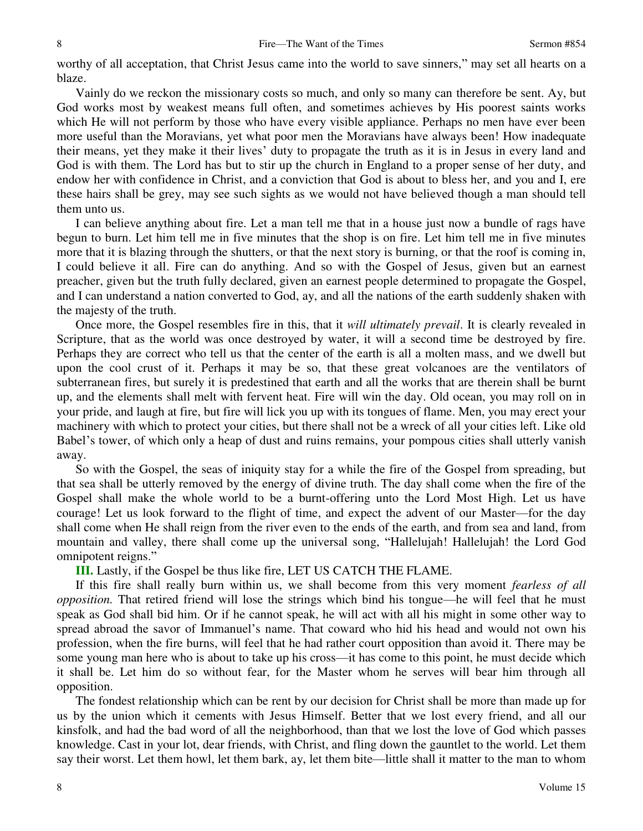worthy of all acceptation, that Christ Jesus came into the world to save sinners," may set all hearts on a blaze.

 Vainly do we reckon the missionary costs so much, and only so many can therefore be sent. Ay, but God works most by weakest means full often, and sometimes achieves by His poorest saints works which He will not perform by those who have every visible appliance. Perhaps no men have ever been more useful than the Moravians, yet what poor men the Moravians have always been! How inadequate their means, yet they make it their lives' duty to propagate the truth as it is in Jesus in every land and God is with them. The Lord has but to stir up the church in England to a proper sense of her duty, and endow her with confidence in Christ, and a conviction that God is about to bless her, and you and I, ere these hairs shall be grey, may see such sights as we would not have believed though a man should tell them unto us.

 I can believe anything about fire. Let a man tell me that in a house just now a bundle of rags have begun to burn. Let him tell me in five minutes that the shop is on fire. Let him tell me in five minutes more that it is blazing through the shutters, or that the next story is burning, or that the roof is coming in, I could believe it all. Fire can do anything. And so with the Gospel of Jesus, given but an earnest preacher, given but the truth fully declared, given an earnest people determined to propagate the Gospel, and I can understand a nation converted to God, ay, and all the nations of the earth suddenly shaken with the majesty of the truth.

 Once more, the Gospel resembles fire in this, that it *will ultimately prevail*. It is clearly revealed in Scripture, that as the world was once destroyed by water, it will a second time be destroyed by fire. Perhaps they are correct who tell us that the center of the earth is all a molten mass, and we dwell but upon the cool crust of it. Perhaps it may be so, that these great volcanoes are the ventilators of subterranean fires, but surely it is predestined that earth and all the works that are therein shall be burnt up, and the elements shall melt with fervent heat. Fire will win the day. Old ocean, you may roll on in your pride, and laugh at fire, but fire will lick you up with its tongues of flame. Men, you may erect your machinery with which to protect your cities, but there shall not be a wreck of all your cities left. Like old Babel's tower, of which only a heap of dust and ruins remains, your pompous cities shall utterly vanish away.

 So with the Gospel, the seas of iniquity stay for a while the fire of the Gospel from spreading, but that sea shall be utterly removed by the energy of divine truth. The day shall come when the fire of the Gospel shall make the whole world to be a burnt-offering unto the Lord Most High. Let us have courage! Let us look forward to the flight of time, and expect the advent of our Master—for the day shall come when He shall reign from the river even to the ends of the earth, and from sea and land, from mountain and valley, there shall come up the universal song, "Hallelujah! Hallelujah! the Lord God omnipotent reigns."

**III.** Lastly, if the Gospel be thus like fire, LET US CATCH THE FLAME.

 If this fire shall really burn within us, we shall become from this very moment *fearless of all opposition.* That retired friend will lose the strings which bind his tongue—he will feel that he must speak as God shall bid him. Or if he cannot speak, he will act with all his might in some other way to spread abroad the savor of Immanuel's name. That coward who hid his head and would not own his profession, when the fire burns, will feel that he had rather court opposition than avoid it. There may be some young man here who is about to take up his cross—it has come to this point, he must decide which it shall be. Let him do so without fear, for the Master whom he serves will bear him through all opposition.

 The fondest relationship which can be rent by our decision for Christ shall be more than made up for us by the union which it cements with Jesus Himself. Better that we lost every friend, and all our kinsfolk, and had the bad word of all the neighborhood, than that we lost the love of God which passes knowledge. Cast in your lot, dear friends, with Christ, and fling down the gauntlet to the world. Let them say their worst. Let them howl, let them bark, ay, let them bite—little shall it matter to the man to whom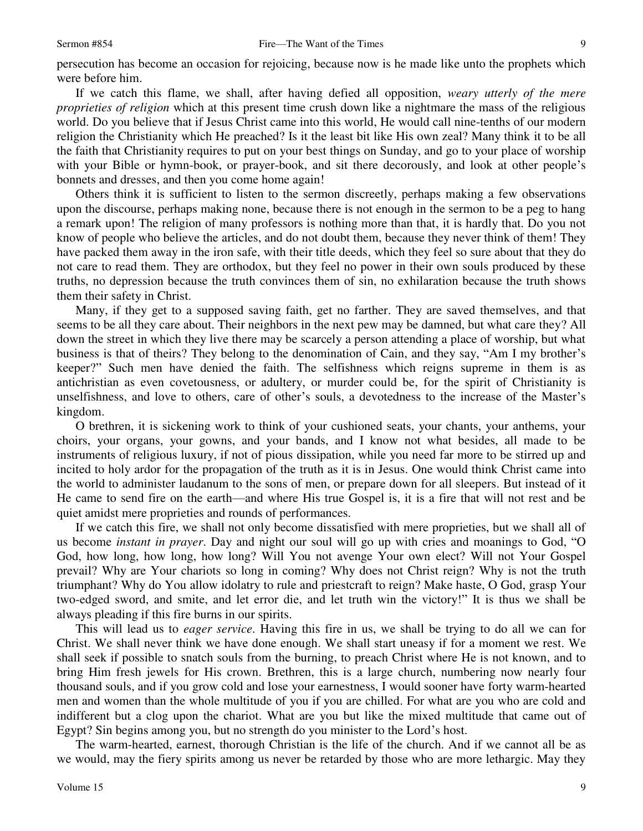persecution has become an occasion for rejoicing, because now is he made like unto the prophets which were before him.

 If we catch this flame, we shall, after having defied all opposition, *weary utterly of the mere proprieties of religion* which at this present time crush down like a nightmare the mass of the religious world. Do you believe that if Jesus Christ came into this world, He would call nine-tenths of our modern religion the Christianity which He preached? Is it the least bit like His own zeal? Many think it to be all the faith that Christianity requires to put on your best things on Sunday, and go to your place of worship with your Bible or hymn-book, or prayer-book, and sit there decorously, and look at other people's bonnets and dresses, and then you come home again!

 Others think it is sufficient to listen to the sermon discreetly, perhaps making a few observations upon the discourse, perhaps making none, because there is not enough in the sermon to be a peg to hang a remark upon! The religion of many professors is nothing more than that, it is hardly that. Do you not know of people who believe the articles, and do not doubt them, because they never think of them! They have packed them away in the iron safe, with their title deeds, which they feel so sure about that they do not care to read them. They are orthodox, but they feel no power in their own souls produced by these truths, no depression because the truth convinces them of sin, no exhilaration because the truth shows them their safety in Christ.

 Many, if they get to a supposed saving faith, get no farther. They are saved themselves, and that seems to be all they care about. Their neighbors in the next pew may be damned, but what care they? All down the street in which they live there may be scarcely a person attending a place of worship, but what business is that of theirs? They belong to the denomination of Cain, and they say, "Am I my brother's keeper?" Such men have denied the faith. The selfishness which reigns supreme in them is as antichristian as even covetousness, or adultery, or murder could be, for the spirit of Christianity is unselfishness, and love to others, care of other's souls, a devotedness to the increase of the Master's kingdom.

 O brethren, it is sickening work to think of your cushioned seats, your chants, your anthems, your choirs, your organs, your gowns, and your bands, and I know not what besides, all made to be instruments of religious luxury, if not of pious dissipation, while you need far more to be stirred up and incited to holy ardor for the propagation of the truth as it is in Jesus. One would think Christ came into the world to administer laudanum to the sons of men, or prepare down for all sleepers. But instead of it He came to send fire on the earth—and where His true Gospel is, it is a fire that will not rest and be quiet amidst mere proprieties and rounds of performances.

 If we catch this fire, we shall not only become dissatisfied with mere proprieties, but we shall all of us become *instant in prayer*. Day and night our soul will go up with cries and moanings to God, "O God, how long, how long, how long? Will You not avenge Your own elect? Will not Your Gospel prevail? Why are Your chariots so long in coming? Why does not Christ reign? Why is not the truth triumphant? Why do You allow idolatry to rule and priestcraft to reign? Make haste, O God, grasp Your two-edged sword, and smite, and let error die, and let truth win the victory!" It is thus we shall be always pleading if this fire burns in our spirits.

 This will lead us to *eager service*. Having this fire in us, we shall be trying to do all we can for Christ. We shall never think we have done enough. We shall start uneasy if for a moment we rest. We shall seek if possible to snatch souls from the burning, to preach Christ where He is not known, and to bring Him fresh jewels for His crown. Brethren, this is a large church, numbering now nearly four thousand souls, and if you grow cold and lose your earnestness, I would sooner have forty warm-hearted men and women than the whole multitude of you if you are chilled. For what are you who are cold and indifferent but a clog upon the chariot. What are you but like the mixed multitude that came out of Egypt? Sin begins among you, but no strength do you minister to the Lord's host.

 The warm-hearted, earnest, thorough Christian is the life of the church. And if we cannot all be as we would, may the fiery spirits among us never be retarded by those who are more lethargic. May they